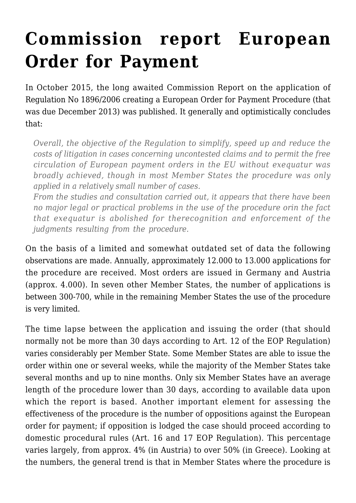## **[Commission report European](https://conflictoflaws.net/2015/commission-report-european-order-for-payment/) [Order for Payment](https://conflictoflaws.net/2015/commission-report-european-order-for-payment/)**

In October 2015, the long awaited [Commission Report](https://ec.europa.eu/transparency/regdoc/rep/1/2015/EN/1-2015-495-EN-F1-1.PDF) on the application of Regulation No 1896/2006 creating a European Order for Payment Procedure (that was due December 2013) was published. It generally and optimistically concludes that:

*Overall, the objective of the Regulation to simplify, speed up and reduce the costs of litigation in cases concerning uncontested claims and to permit the free circulation of European payment orders in the EU without exequatur was broadly achieved, though in most Member States the procedure was only applied in a relatively small number of cases.*

*From the studies and consultation carried out, it appears that there have been no major legal or practical problems in the use of the procedure orin the fact that exequatur is abolished for therecognition and enforcement of the judgments resulting from the procedure.*

On the basis of a limited and somewhat outdated set of data the following observations are made. Annually, approximately 12.000 to 13.000 applications for the procedure are received. Most orders are issued in Germany and Austria (approx. 4.000). In seven other Member States, the number of applications is between 300-700, while in the remaining Member States the use of the procedure is very limited.

The time lapse between the application and issuing the order (that should normally not be more than 30 days according to Art. 12 of the EOP Regulation) varies considerably per Member State. Some Member States are able to issue the order within one or several weeks, while the majority of the Member States take several months and up to nine months. Only six Member States have an average length of the procedure lower than 30 days, according to available data upon which the report is based. Another important element for assessing the effectiveness of the procedure is the number of oppositions against the European order for payment; if opposition is lodged the case should proceed according to domestic procedural rules (Art. 16 and 17 EOP Regulation). This percentage varies largely, from approx. 4% (in Austria) to over 50% (in Greece). Looking at the numbers, the general trend is that in Member States where the procedure is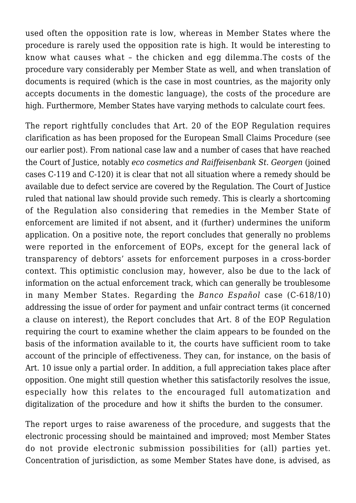used often the opposition rate is low, whereas in Member States where the procedure is rarely used the opposition rate is high. It would be interesting to know what causes what – the chicken and egg dilemma.The costs of the procedure vary considerably per Member State as well, and when translation of documents is required (which is the case in most countries, as the majority only accepts documents in the domestic language), the costs of the procedure are high. Furthermore, Member States have varying methods to calculate court fees.

The report rightfully concludes that Art. 20 of the EOP Regulation requires clarification as has been proposed for the European Small Claims Procedure (see our earlier [post](https://conflictoflaws.de/2015/european-parliament-legislative-resolution-on-the-amendment-of-the-small-claims-regulation/)). From national case law and a number of cases that have reached the Court of Justice, notably *[eco cosmetics and Raiffeisenbank St. Georgen](http://curia.europa.eu/juris/liste.jsf?language=en&num=C-119/13)* (joined cases C-119 and C-120) it is clear that not all situation where a remedy should be available due to defect service are covered by the Regulation. The Court of Justice ruled that national law should provide such remedy. This is clearly a shortcoming of the Regulation also considering that remedies in the Member State of enforcement are limited if not absent, and it (further) undermines the uniform application. On a positive note, the report concludes that generally no problems were reported in the enforcement of EOPs, except for the general lack of transparency of debtors' assets for enforcement purposes in a cross-border context. This optimistic conclusion may, however, also be due to the lack of information on the actual enforcement track, which can generally be troublesome in many Member States. Regarding the *[Banco Español](http://curia.europa.eu/juris/liste.jsf?pro=&lgrec=nl&nat=or&oqp=&dates=&lg=&language=en&jur=C%2CT%2CF&cit=none%252CC%252CCJ%252CR%252C2008E%252C%252C%252C%252C%252C%252C%252C%252C%252C%252Ctrue%252Cfalse%252Cfalse&num=C-618%252F10&td=%3BALL&pcs=Oor&avg=&page=1&mat=or&jge=&for=&cid=1468726)* [c](http://curia.europa.eu/juris/liste.jsf?pro=&lgrec=nl&nat=or&oqp=&dates=&lg=&language=en&jur=C%2CT%2CF&cit=none%252CC%252CCJ%252CR%252C2008E%252C%252C%252C%252C%252C%252C%252C%252C%252C%252Ctrue%252Cfalse%252Cfalse&num=C-618%252F10&td=%3BALL&pcs=Oor&avg=&page=1&mat=or&jge=&for=&cid=1468726)ase (C-618/10) addressing the issue of order for payment and unfair contract terms (it concerned a clause on interest), the Report concludes that Art. 8 of the EOP Regulation requiring the court to examine whether the claim appears to be founded on the basis of the information available to it, the courts have sufficient room to take account of the principle of effectiveness. They can, for instance, on the basis of Art. 10 issue only a partial order. In addition, a full appreciation takes place after opposition. One might still question whether this satisfactorily resolves the issue, especially how this relates to the encouraged full automatization and digitalization of the procedure and how it shifts the burden to the consumer.

The report urges to raise awareness of the procedure, and suggests that the electronic processing should be maintained and improved; most Member States do not provide electronic submission possibilities for (all) parties yet. Concentration of jurisdiction, as some Member States have done, is advised, as